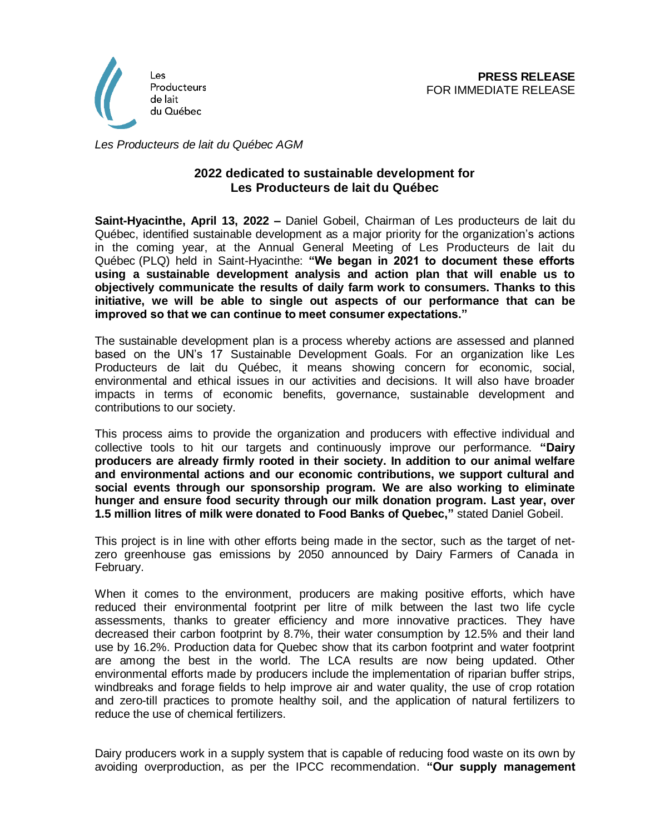

*Les Producteurs de lait du Québec AGM*

## **2022 dedicated to sustainable development for Les Producteurs de lait du Québec**

**Saint-Hyacinthe, April 13, 2022 –** Daniel Gobeil, Chairman of Les producteurs de lait du Québec, identified sustainable development as a major priority for the organization's actions in the coming year, at the Annual General Meeting of Les Producteurs de lait du Québec (PLQ) held in Saint-Hyacinthe: **"We began in 2021 to document these efforts using a sustainable development analysis and action plan that will enable us to objectively communicate the results of daily farm work to consumers. Thanks to this initiative, we will be able to single out aspects of our performance that can be improved so that we can continue to meet consumer expectations."**

The sustainable development plan is a process whereby actions are assessed and planned based on the UN's 17 Sustainable Development Goals. For an organization like Les Producteurs de lait du Québec, it means showing concern for economic, social, environmental and ethical issues in our activities and decisions. It will also have broader impacts in terms of economic benefits, governance, sustainable development and contributions to our society.

This process aims to provide the organization and producers with effective individual and collective tools to hit our targets and continuously improve our performance. **"Dairy producers are already firmly rooted in their society. In addition to our animal welfare and environmental actions and our economic contributions, we support cultural and social events through our sponsorship program. We are also working to eliminate hunger and ensure food security through our milk donation program. Last year, over 1.5 million litres of milk were donated to Food Banks of Quebec,"** stated Daniel Gobeil.

This project is in line with other efforts being made in the sector, such as the target of netzero greenhouse gas emissions by 2050 announced by Dairy Farmers of Canada in February.

When it comes to the environment, producers are making positive efforts, which have reduced their environmental footprint per litre of milk between the last two life cycle assessments, thanks to greater efficiency and more innovative practices. They have decreased their carbon footprint by 8.7%, their water consumption by 12.5% and their land use by 16.2%. Production data for Quebec show that its carbon footprint and water footprint are among the best in the world. The LCA results are now being updated. Other environmental efforts made by producers include the implementation of riparian buffer strips, windbreaks and forage fields to help improve air and water quality, the use of crop rotation and zero-till practices to promote healthy soil, and the application of natural fertilizers to reduce the use of chemical fertilizers.

Dairy producers work in a supply system that is capable of reducing food waste on its own by avoiding overproduction, as per the IPCC recommendation. **"Our supply management**